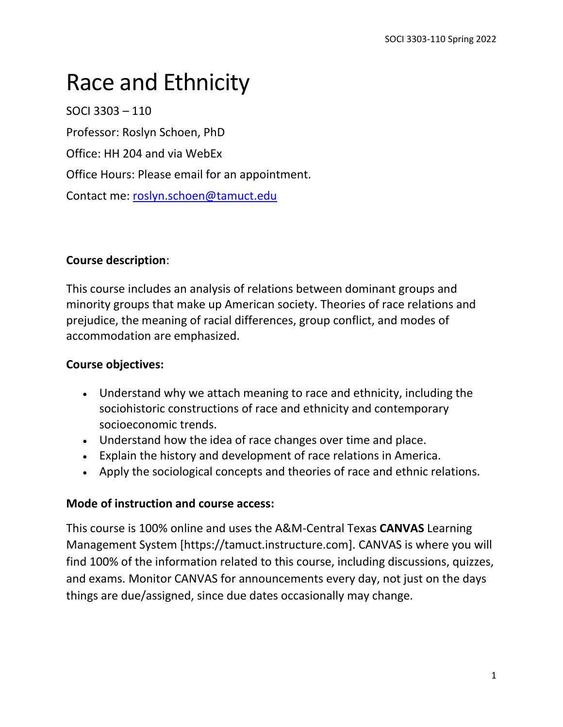# Race and Ethnicity

SOCI 3303 – 110 Professor: Roslyn Schoen, PhD Office: HH 204 and via WebEx Office Hours: Please email for an appointment. Contact me: [roslyn.schoen@tamuct.edu](mailto:roslyn.schoen@tamuct.edu)

# **Course description**:

This course includes an analysis of relations between dominant groups and minority groups that make up American society. Theories of race relations and prejudice, the meaning of racial differences, group conflict, and modes of accommodation are emphasized.

### **Course objectives:**

- Understand why we attach meaning to race and ethnicity, including the sociohistoric constructions of race and ethnicity and contemporary socioeconomic trends.
- Understand how the idea of race changes over time and place.
- Explain the history and development of race relations in America.
- Apply the sociological concepts and theories of race and ethnic relations.

# **Mode of instruction and course access:**

This course is 100% online and uses the A&M-Central Texas **CANVAS** Learning Management System [https://tamuct.instructure.com]. CANVAS is where you will find 100% of the information related to this course, including discussions, quizzes, and exams. Monitor CANVAS for announcements every day, not just on the days things are due/assigned, since due dates occasionally may change.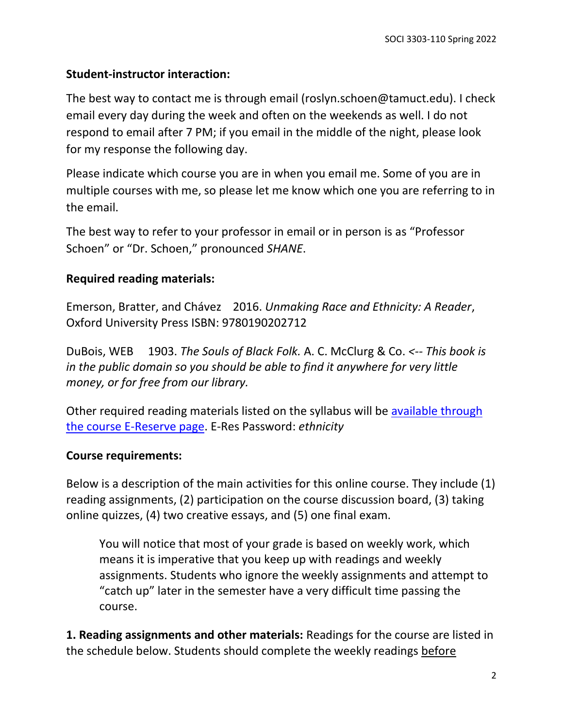### **Student-instructor interaction:**

The best way to contact me is through email (roslyn.schoen@tamuct.edu). I check email every day during the week and often on the weekends as well. I do not respond to email after 7 PM; if you email in the middle of the night, please look for my response the following day.

Please indicate which course you are in when you email me. Some of you are in multiple courses with me, so please let me know which one you are referring to in the email.

The best way to refer to your professor in email or in person is as "Professor Schoen" or "Dr. Schoen," pronounced *SHANE*.

### **Required reading materials:**

Emerson, Bratter, and Chávez 2016. *Unmaking Race and Ethnicity: A Reader*, Oxford University Press ISBN: 9780190202712

DuBois, WEB 1903. *The Souls of Black Folk.* A. C. McClurg & Co. *<-- This book is in the public domain so you should be able to find it anywhere for very little money, or for free from our library.*

Other required reading materials listed on the syllabus will be [available through](https://tamuct.libguides.com/er.php?course_id=67886)  [the course E-Reserve page.](https://tamuct.libguides.com/er.php?course_id=67886) E-Res Password: *ethnicity*

### **Course requirements:**

Below is a description of the main activities for this online course. They include (1) reading assignments, (2) participation on the course discussion board, (3) taking online quizzes, (4) two creative essays, and (5) one final exam.

You will notice that most of your grade is based on weekly work, which means it is imperative that you keep up with readings and weekly assignments. Students who ignore the weekly assignments and attempt to "catch up" later in the semester have a very difficult time passing the course.

**1. Reading assignments and other materials:** Readings for the course are listed in the schedule below. Students should complete the weekly readings before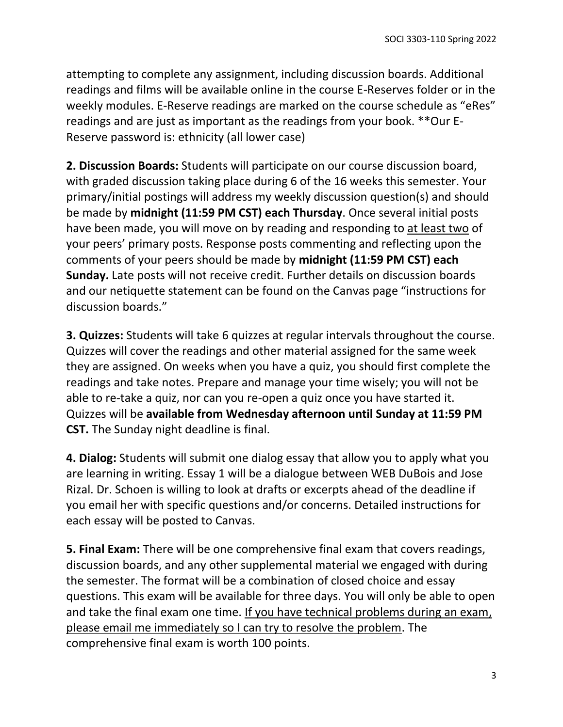attempting to complete any assignment, including discussion boards. Additional readings and films will be available online in the course E-Reserves folder or in the weekly modules. E-Reserve readings are marked on the course schedule as "eRes" readings and are just as important as the readings from your book. \*\*Our E-Reserve password is: ethnicity (all lower case)

**2. Discussion Boards:** Students will participate on our course discussion board, with graded discussion taking place during 6 of the 16 weeks this semester. Your primary/initial postings will address my weekly discussion question(s) and should be made by **midnight (11:59 PM CST) each Thursday**. Once several initial posts have been made, you will move on by reading and responding to at least two of your peers' primary posts. Response posts commenting and reflecting upon the comments of your peers should be made by **midnight (11:59 PM CST) each Sunday.** Late posts will not receive credit. Further details on discussion boards and our netiquette statement can be found on the Canvas page "instructions for discussion boards."

**3. Quizzes:** Students will take 6 quizzes at regular intervals throughout the course. Quizzes will cover the readings and other material assigned for the same week they are assigned. On weeks when you have a quiz, you should first complete the readings and take notes. Prepare and manage your time wisely; you will not be able to re-take a quiz, nor can you re-open a quiz once you have started it. Quizzes will be **available from Wednesday afternoon until Sunday at 11:59 PM CST.** The Sunday night deadline is final.

**4. Dialog:** Students will submit one dialog essay that allow you to apply what you are learning in writing. Essay 1 will be a dialogue between WEB DuBois and Jose Rizal. Dr. Schoen is willing to look at drafts or excerpts ahead of the deadline if you email her with specific questions and/or concerns. Detailed instructions for each essay will be posted to Canvas.

**5. Final Exam:** There will be one comprehensive final exam that covers readings, discussion boards, and any other supplemental material we engaged with during the semester. The format will be a combination of closed choice and essay questions. This exam will be available for three days. You will only be able to open and take the final exam one time. If you have technical problems during an exam, please email me immediately so I can try to resolve the problem. The comprehensive final exam is worth 100 points.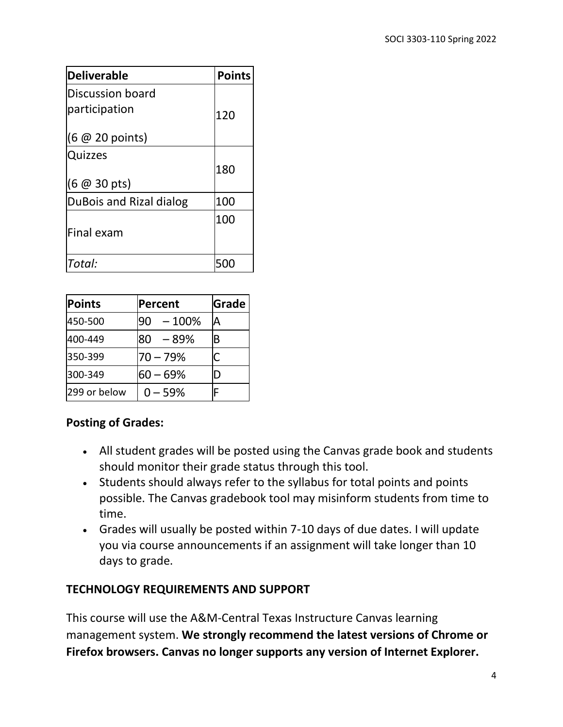| <b>Deliverable</b>              | <b>Points</b> |
|---------------------------------|---------------|
| Discussion board                |               |
| participation                   | 120           |
| $(6 \oslash 20 \text{ points})$ |               |
| Quizzes                         |               |
|                                 | 180           |
| $(6 \oslash 30 \text{ pts})$    |               |
| DuBois and Rizal dialog         | 100           |
|                                 | 100           |
| Final exam                      |               |
| Total:                          | 500           |

| Points       | Percent       | Grade |
|--------------|---------------|-------|
| 450-500      | $-100%$<br>90 | А     |
| 400-449      | 80<br>$-89%$  | В     |
| 350-399      | $70 - 79%$    | C.    |
| 300-349      | $60 - 69%$    | I)    |
| 299 or below | $-59%$        |       |

# **Posting of Grades:**

- All student grades will be posted using the Canvas grade book and students should monitor their grade status through this tool.
- Students should always refer to the syllabus for total points and points possible. The Canvas gradebook tool may misinform students from time to time.
- Grades will usually be posted within 7-10 days of due dates. I will update you via course announcements if an assignment will take longer than 10 days to grade.

# **TECHNOLOGY REQUIREMENTS AND SUPPORT**

This course will use the A&M-Central Texas Instructure Canvas learning management system. **We strongly recommend the latest versions of Chrome or Firefox browsers. Canvas no longer supports any version of Internet Explorer.**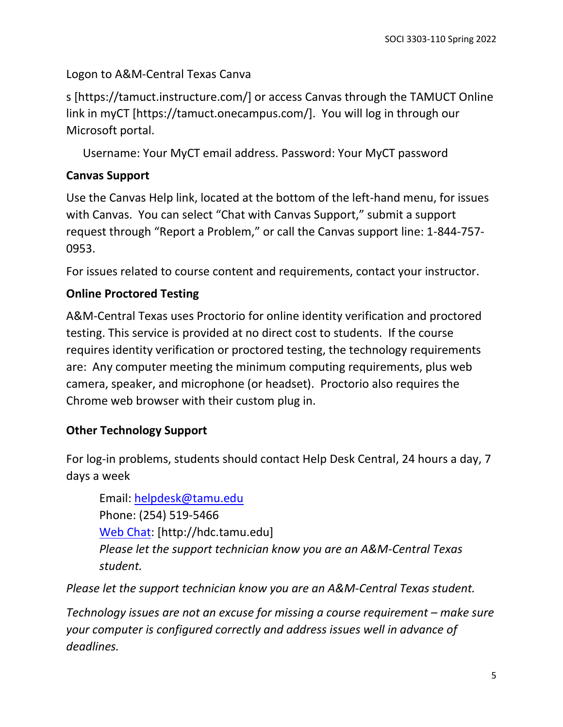Logon to A&M-Central Texas Canva

s [https://tamuct.instructure.com/] or access Canvas through the TAMUCT Online link in myCT [https://tamuct.onecampus.com/]. You will log in through our Microsoft portal.

Username: Your MyCT email address. Password: Your MyCT password

# **Canvas Support**

Use the Canvas Help link, located at the bottom of the left-hand menu, for issues with Canvas. You can select "Chat with Canvas Support," submit a support request through "Report a Problem," or call the Canvas support line: 1-844-757- 0953.

For issues related to course content and requirements, contact your instructor.

# **Online Proctored Testing**

A&M-Central Texas uses Proctorio for online identity verification and proctored testing. This service is provided at no direct cost to students. If the course requires identity verification or proctored testing, the technology requirements are: Any computer meeting the minimum computing requirements, plus web camera, speaker, and microphone (or headset). Proctorio also requires the Chrome web browser with their custom plug in.

# **Other Technology Support**

For log-in problems, students should contact Help Desk Central, 24 hours a day, 7 days a week

Email: [helpdesk@tamu.edu](mailto:helpdesk@tamu.edu) Phone: (254) 519-5466 [Web Chat:](http://hdc.tamu.edu/) [http://hdc.tamu.edu] *Please let the support technician know you are an A&M-Central Texas student.*

*Please let the support technician know you are an A&M-Central Texas student.*

*Technology issues are not an excuse for missing a course requirement – make sure your computer is configured correctly and address issues well in advance of deadlines.*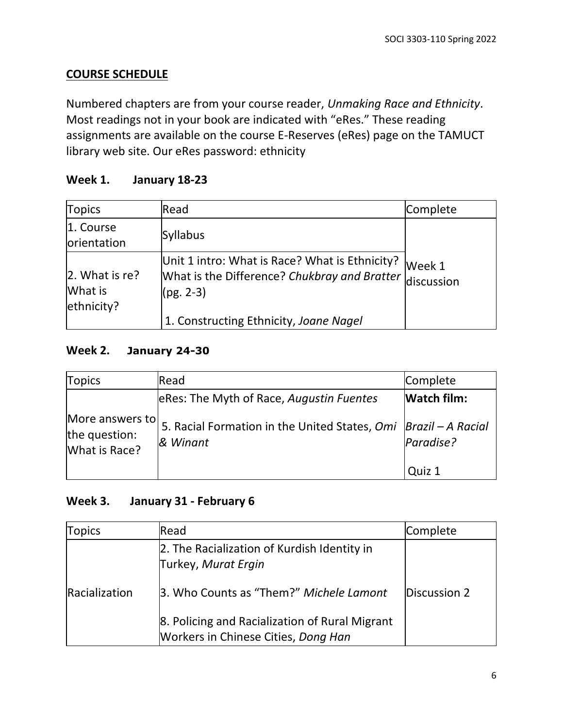# **COURSE SCHEDULE**

Numbered chapters are from your course reader, *Unmaking Race and Ethnicity*. Most readings not in your book are indicated with "eRes." These reading assignments are available on the course E-Reserves (eRes) page on the TAMUCT library web site. Our eRes password: ethnicity

# **Week 1. January 18-23**

| <b>Topics</b>                                   | Read                                                                                                                             | Complete |
|-------------------------------------------------|----------------------------------------------------------------------------------------------------------------------------------|----------|
| 1. Course<br>orientation                        | <b>Syllabus</b>                                                                                                                  |          |
| $\vert$ 2. What is re?<br>What is<br>ethnicity? | Unit 1 intro: What is Race? What is Ethnicity?<br>What is the Difference? Chukbray and Bratter $\vert$ discussion<br>$(pg. 2-3)$ | Week 1   |
|                                                 | 1. Constructing Ethnicity, Joane Nagel                                                                                           |          |

# **Week 2. January 24-30**

| <b>Topics</b>                                     | Read                                                      | Complete                               |
|---------------------------------------------------|-----------------------------------------------------------|----------------------------------------|
|                                                   | eRes: The Myth of Race, Augustin Fuentes                  | <b>Watch film:</b>                     |
| More answers to<br>the question:<br>What is Race? | 5. Racial Formation in the United States, Omi<br>& Winant | $\vert$ Brazil – A Racial<br>Paradise? |
|                                                   |                                                           | Quiz 1                                 |

# **Week 3. January 31 - February 6**

| <b>Topics</b> | Read                                                                                  | Complete     |
|---------------|---------------------------------------------------------------------------------------|--------------|
|               | 2. The Racialization of Kurdish Identity in<br>Turkey, Murat Ergin                    |              |
| Racialization | 3. Who Counts as "Them?" Michele Lamont                                               | Discussion 2 |
|               | 8. Policing and Racialization of Rural Migrant<br>Workers in Chinese Cities, Dong Han |              |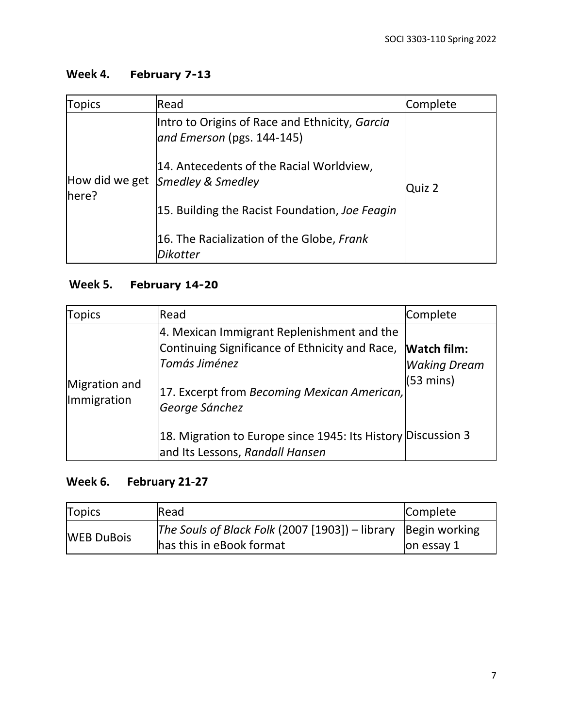# **Week 4. February 7-13**

| <b>Topics</b> | Read                                                                         | Complete |
|---------------|------------------------------------------------------------------------------|----------|
| here?         | Intro to Origins of Race and Ethnicity, Garcia<br>and Emerson (pgs. 144-145) |          |
|               | 14. Antecedents of the Racial Worldview,<br>How did we get Smedley & Smedley | Quiz 2   |
|               | 15. Building the Racist Foundation, Joe Feagin                               |          |
|               | 16. The Racialization of the Globe, Frank<br>Dikotter                        |          |

# **Week 5. February 14-20**

| <b>Topics</b>                | Read                                                                                                                                                                                       | Complete                                   |
|------------------------------|--------------------------------------------------------------------------------------------------------------------------------------------------------------------------------------------|--------------------------------------------|
| Migration and<br>Immigration | 4. Mexican Immigrant Replenishment and the<br>Continuing Significance of Ethnicity and Race, Watch film:<br>Tomás Jiménez<br>17. Excerpt from Becoming Mexican American,<br>George Sánchez | <b>Waking Dream</b><br>$(53 \text{ mins})$ |
|                              | 18. Migration to Europe since 1945: Its History Discussion 3<br>and Its Lessons, Randall Hansen                                                                                            |                                            |

# **Week 6. February 21-27**

| Topics            | Read                                                                                       | Complete       |
|-------------------|--------------------------------------------------------------------------------------------|----------------|
| <b>WEB DuBois</b> | The Souls of Black Folk (2007 [1903]) – library  Begin working<br>has this in eBook format | $ $ on essay 1 |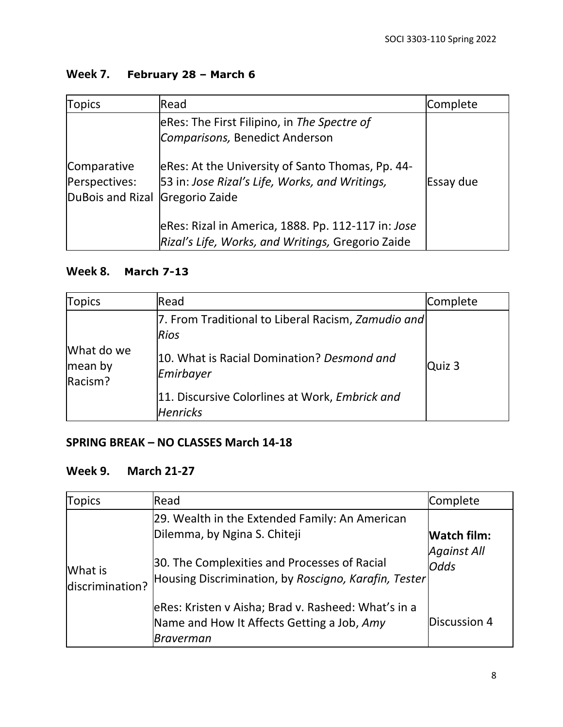# **Week 7. February 28 – March 6**

| <b>Topics</b>                                    | Read                                                                                                                 | Complete  |
|--------------------------------------------------|----------------------------------------------------------------------------------------------------------------------|-----------|
|                                                  | eRes: The First Filipino, in The Spectre of<br>Comparisons, Benedict Anderson                                        |           |
| Comparative<br>Perspectives:<br>DuBois and Rizal | eRes: At the University of Santo Thomas, Pp. 44-<br>53 in: Jose Rizal's Life, Works, and Writings,<br>Gregorio Zaide | Essay due |
|                                                  | eRes: Rizal in America, 1888. Pp. 112-117 in: Jose<br>Rizal's Life, Works, and Writings, Gregorio Zaide              |           |

### **Week 8. March 7-13**

| <b>Topics</b>                    | Read                                                              | Complete |
|----------------------------------|-------------------------------------------------------------------|----------|
|                                  | 7. From Traditional to Liberal Racism, Zamudio and<br><b>Rios</b> |          |
| What do we<br>mean by<br>Racism? | 10. What is Racial Domination? Desmond and<br>Emirbayer           | Quiz 3   |
|                                  | 11. Discursive Colorlines at Work, Embrick and<br><b>Henricks</b> |          |

# **SPRING BREAK – NO CLASSES March 14-18**

### **Week 9. March 21-27**

| <b>Topics</b>              | Read                                                                                                                                                                                   | Complete                                                |
|----------------------------|----------------------------------------------------------------------------------------------------------------------------------------------------------------------------------------|---------------------------------------------------------|
| What is<br>discrimination? | 29. Wealth in the Extended Family: An American<br>Dilemma, by Ngina S. Chiteji<br>30. The Complexities and Processes of Racial<br>Housing Discrimination, by Roscigno, Karafin, Tester | <b>Watch film:</b><br><b>Against All</b><br><b>Odds</b> |
|                            | eRes: Kristen v Aisha; Brad v. Rasheed: What's in a<br>Name and How It Affects Getting a Job, Amy<br><b>Braverman</b>                                                                  | Discussion 4                                            |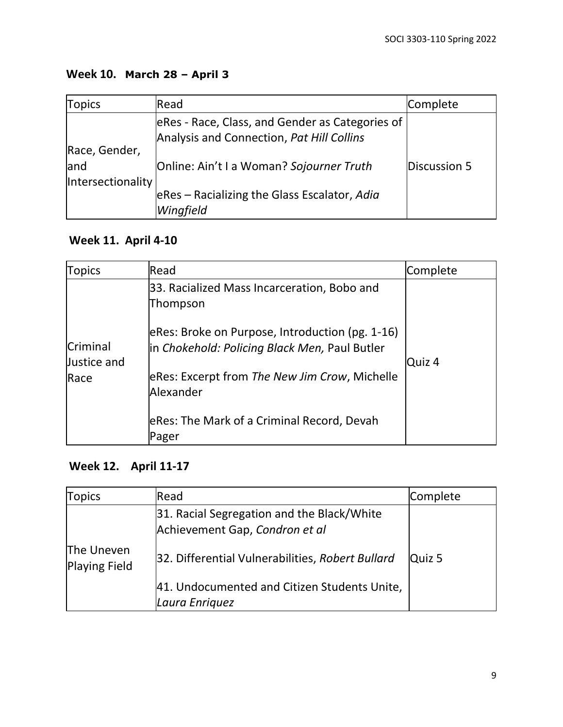# **Week 10. March 28 – April 3**

| <b>Topics</b>                             | Read                                                                                         | Complete     |
|-------------------------------------------|----------------------------------------------------------------------------------------------|--------------|
|                                           | eRes - Race, Class, and Gender as Categories of<br>Analysis and Connection, Pat Hill Collins |              |
| Race, Gender,<br>and<br>Intersectionality | Online: Ain't I a Woman? Sojourner Truth                                                     | Discussion 5 |
|                                           | eRes – Racializing the Glass Escalator, Adia<br>Wingfield                                    |              |

# **Week 11. April 4-10**

| <b>Topics</b>                          | Read                                                                                                                                                                                                                                                                    | Complete |
|----------------------------------------|-------------------------------------------------------------------------------------------------------------------------------------------------------------------------------------------------------------------------------------------------------------------------|----------|
| <b>Criminal</b><br>Justice and<br>Race | 33. Racialized Mass Incarceration, Bobo and<br>Thompson<br>eRes: Broke on Purpose, Introduction (pg. 1-16)<br>in Chokehold: Policing Black Men, Paul Butler<br>eRes: Excerpt from The New Jim Crow, Michelle<br>Alexander<br>eRes: The Mark of a Criminal Record, Devah | Quiz 4   |
|                                        | Pager                                                                                                                                                                                                                                                                   |          |

# **Week 12. April 11-17**

| <b>Topics</b>                      | Read                                                                         | Complete |
|------------------------------------|------------------------------------------------------------------------------|----------|
|                                    | 31. Racial Segregation and the Black/White<br>Achievement Gap, Condron et al |          |
| The Uneven<br><b>Playing Field</b> | 32. Differential Vulnerabilities, Robert Bullard                             | Quiz 5   |
|                                    | 41. Undocumented and Citizen Students Unite,<br>Laura Enriquez               |          |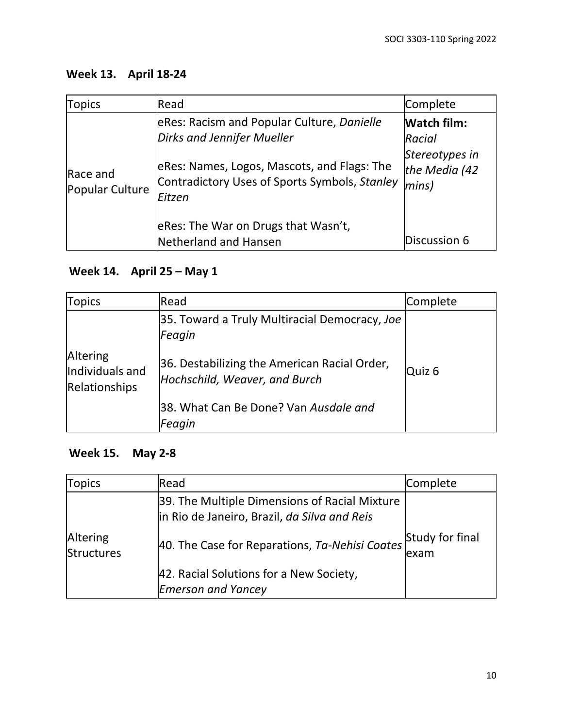# **Week 13. April 18-24**

| <b>Topics</b>               | Read                                                                                                                                                                                                                                                | Complete                                                                                   |
|-----------------------------|-----------------------------------------------------------------------------------------------------------------------------------------------------------------------------------------------------------------------------------------------------|--------------------------------------------------------------------------------------------|
| Race and<br>Popular Culture | eRes: Racism and Popular Culture, Danielle<br>Dirks and Jennifer Mueller<br>eRes: Names, Logos, Mascots, and Flags: The<br>Contradictory Uses of Sports Symbols, Stanley<br>lEitzen<br>eRes: The War on Drugs that Wasn't,<br>Netherland and Hansen | Watch film:<br>Racial<br>Stereotypes in<br>the Media (42<br>$ mins\rangle$<br>Discussion 6 |

# **Week 14. April 25 – May 1**

| <b>Topics</b>                                | Read                                                                          | Complete |
|----------------------------------------------|-------------------------------------------------------------------------------|----------|
|                                              | 35. Toward a Truly Multiracial Democracy, Joe<br>Feagin                       |          |
| Altering<br>Individuals and<br>Relationships | 36. Destabilizing the American Racial Order,<br>Hochschild, Weaver, and Burch | Quiz 6   |
|                                              | 38. What Can Be Done? Van Ausdale and<br>Feagin                               |          |

# **Week 15. May 2-8**

| <b>Topics</b>          | Read                                                                                          | Complete                 |
|------------------------|-----------------------------------------------------------------------------------------------|--------------------------|
|                        | 39. The Multiple Dimensions of Racial Mixture<br>in Rio de Janeiro, Brazil, da Silva and Reis |                          |
| Altering<br>Structures | 40. The Case for Reparations, Ta-Nehisi Coates                                                | Study for final<br>lexam |
|                        | 42. Racial Solutions for a New Society,<br><b>Emerson and Yancey</b>                          |                          |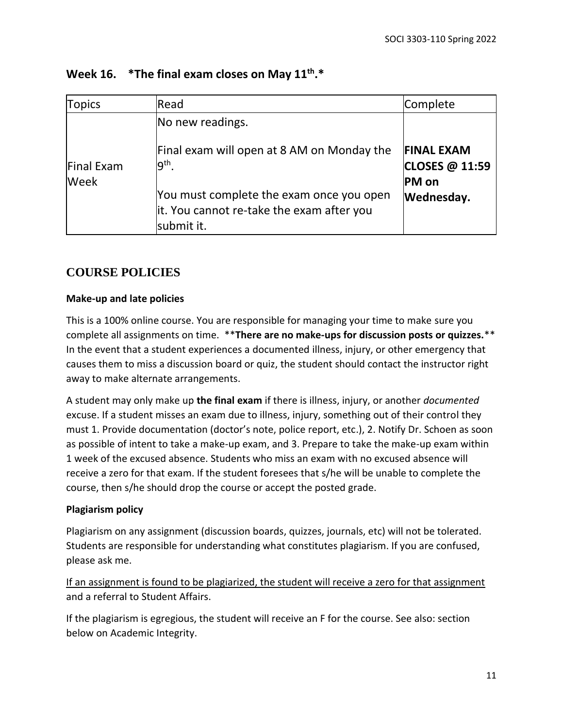| Topics                    | Read                                                                                                | Complete                                            |
|---------------------------|-----------------------------------------------------------------------------------------------------|-----------------------------------------------------|
|                           | No new readings.                                                                                    |                                                     |
| Final Exam<br><b>Week</b> | Final exam will open at 8 AM on Monday the<br>g <sup>th</sup> .                                     | <b>FINAL EXAM</b><br>CLOSES @ 11:59<br><b>PM</b> on |
|                           | You must complete the exam once you open<br>it. You cannot re-take the exam after you<br>submit it. | Wednesday.                                          |

# **Week 16. \*The final exam closes on May 11 th .\***

### **COURSE POLICIES**

#### **Make-up and late policies**

This is a 100% online course. You are responsible for managing your time to make sure you complete all assignments on time. \*\***There are no make-ups for discussion posts or quizzes.**\*\* In the event that a student experiences a documented illness, injury, or other emergency that causes them to miss a discussion board or quiz, the student should contact the instructor right away to make alternate arrangements.

A student may only make up **the final exam** if there is illness, injury, or another *documented* excuse. If a student misses an exam due to illness, injury, something out of their control they must 1. Provide documentation (doctor's note, police report, etc.), 2. Notify Dr. Schoen as soon as possible of intent to take a make-up exam, and 3. Prepare to take the make-up exam within 1 week of the excused absence. Students who miss an exam with no excused absence will receive a zero for that exam. If the student foresees that s/he will be unable to complete the course, then s/he should drop the course or accept the posted grade.

### **Plagiarism policy**

Plagiarism on any assignment (discussion boards, quizzes, journals, etc) will not be tolerated. Students are responsible for understanding what constitutes plagiarism. If you are confused, please ask me.

If an assignment is found to be plagiarized, the student will receive a zero for that assignment and a referral to Student Affairs.

If the plagiarism is egregious, the student will receive an F for the course. See also: section below on Academic Integrity.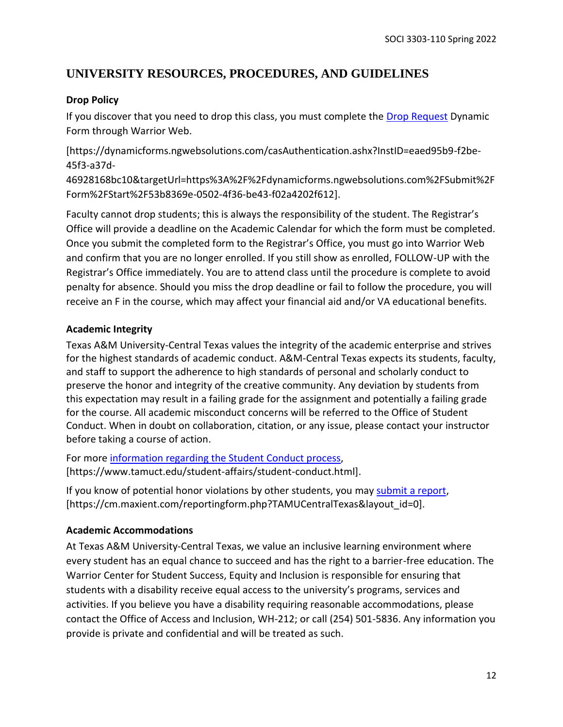### **UNIVERSITY RESOURCES, PROCEDURES, AND GUIDELINES**

#### **Drop Policy**

If you discover that you need to drop this class, you must complete the [Drop Request](https://dynamicforms.ngwebsolutions.com/casAuthentication.ashx?InstID=eaed95b9-f2be-45f3-a37d-46928168bc10&targetUrl=https%3A%2F%2Fdynamicforms.ngwebsolutions.com%2FSubmit%2FForm%2FStart%2F53b8369e-0502-4f36-be43-f02a4202f612) Dynamic Form through Warrior Web.

[https://dynamicforms.ngwebsolutions.com/casAuthentication.ashx?InstID=eaed95b9-f2be-45f3-a37d-

46928168bc10&targetUrl=https%3A%2F%2Fdynamicforms.ngwebsolutions.com%2FSubmit%2F Form%2FStart%2F53b8369e-0502-4f36-be43-f02a4202f612].

Faculty cannot drop students; this is always the responsibility of the student. The Registrar's Office will provide a deadline on the Academic Calendar for which the form must be completed. Once you submit the completed form to the Registrar's Office, you must go into Warrior Web and confirm that you are no longer enrolled. If you still show as enrolled, FOLLOW-UP with the Registrar's Office immediately. You are to attend class until the procedure is complete to avoid penalty for absence. Should you miss the drop deadline or fail to follow the procedure, you will receive an F in the course, which may affect your financial aid and/or VA educational benefits.

#### **Academic Integrity**

Texas A&M University-Central Texas values the integrity of the academic enterprise and strives for the highest standards of academic conduct. A&M-Central Texas expects its students, faculty, and staff to support the adherence to high standards of personal and scholarly conduct to preserve the honor and integrity of the creative community. Any deviation by students from this expectation may result in a failing grade for the assignment and potentially a failing grade for the course. All academic misconduct concerns will be referred to the Office of Student Conduct. When in doubt on collaboration, citation, or any issue, please contact your instructor before taking a course of action.

For more [information](https://nam04.safelinks.protection.outlook.com/?url=https%3A%2F%2Fwww.tamuct.edu%2Fstudent-affairs%2Fstudent-conduct.html&data=04%7C01%7Clisa.bunkowski%40tamuct.edu%7Ccfb6e486f24745f53e1a08d910055cb2%7C9eed4e3000f744849ff193ad8005acec%7C0%7C0%7C637558437485252160%7CUnknown%7CTWFpbGZsb3d8eyJWIjoiMC4wLjAwMDAiLCJQIjoiV2luMzIiLCJBTiI6Ik1haWwiLCJXVCI6Mn0%3D%7C1000&sdata=yjftDEVHvLX%2FhM%2FcFU0B99krV1RgEWR%2BJ%2BhvtoR6TYk%3D&reserved=0) regarding the Student Conduct process, [https://www.tamuct.edu/student-affairs/student-conduct.html].

If you know of potential honor violations by other students, you may [submit](https://nam04.safelinks.protection.outlook.com/?url=https%3A%2F%2Fcm.maxient.com%2Freportingform.php%3FTAMUCentralTexas%26layout_id%3D0&data=04%7C01%7Clisa.bunkowski%40tamuct.edu%7Ccfb6e486f24745f53e1a08d910055cb2%7C9eed4e3000f744849ff193ad8005acec%7C0%7C0%7C637558437485262157%7CUnknown%7CTWFpbGZsb3d8eyJWIjoiMC4wLjAwMDAiLCJQIjoiV2luMzIiLCJBTiI6Ik1haWwiLCJXVCI6Mn0%3D%7C1000&sdata=CXGkOa6uPDPX1IMZ87z3aZDq2n91xfHKu4MMS43Ejjk%3D&reserved=0) a report, [https://cm.maxient.com/reportingform.php?TAMUCentralTexas&layout\_id=0].

### **Academic Accommodations**

At Texas A&M University-Central Texas, we value an inclusive learning environment where every student has an equal chance to succeed and has the right to a barrier-free education. The Warrior Center for Student Success, Equity and Inclusion is responsible for ensuring that students with a disability receive equal access to the university's programs, services and activities. If you believe you have a disability requiring reasonable accommodations, please contact the Office of Access and Inclusion, WH-212; or call (254) 501-5836. Any information you provide is private and confidential and will be treated as such.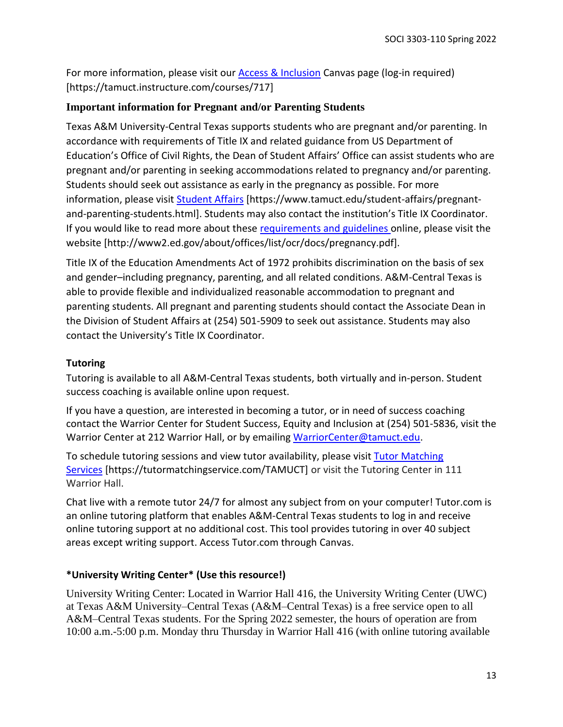For more information, please visit our [Access & Inclusion](https://tamuct.instructure.com/courses/717) Canvas page (log-in required) [https://tamuct.instructure.com/courses/717]

#### **Important information for Pregnant and/or Parenting Students**

Texas A&M University-Central Texas supports students who are pregnant and/or parenting. In accordance with requirements of Title IX and related guidance from US Department of Education's Office of Civil Rights, the Dean of Student Affairs' Office can assist students who are pregnant and/or parenting in seeking accommodations related to pregnancy and/or parenting. Students should seek out assistance as early in the pregnancy as possible. For more information, please visit [Student Affairs](https://www.tamuct.edu/student-affairs/pregnant-and-parenting-students.html) [https://www.tamuct.edu/student-affairs/pregnantand-parenting-students.html]. Students may also contact the institution's Title IX Coordinator. If you would like to read more about these [requirements and guidelines](http://www2.ed.gov/about/offices/list/ocr/docs/pregnancy.pdf) online, please visit the website [http://www2.ed.gov/about/offices/list/ocr/docs/pregnancy.pdf].

Title IX of the Education Amendments Act of 1972 prohibits discrimination on the basis of sex and gender–including pregnancy, parenting, and all related conditions. A&M-Central Texas is able to provide flexible and individualized reasonable accommodation to pregnant and parenting students. All pregnant and parenting students should contact the Associate Dean in the Division of Student Affairs at (254) 501-5909 to seek out assistance. Students may also contact the University's Title IX Coordinator.

#### **Tutoring**

Tutoring is available to all A&M-Central Texas students, both virtually and in-person. Student success coaching is available online upon request.

If you have a question, are interested in becoming a tutor, or in need of success coaching contact the Warrior Center for Student Success, Equity and Inclusion at (254) 501-5836, visit the Warrior Center at 212 Warrior Hall, or by emailing [WarriorCenter@tamuct.edu.](mailto:WarriorCenter@tamuct.edu)

To schedule tutoring sessions and view tutor availability, please visit Tutor [Matching](https://tutormatchingservice.com/TAMUCT) [Services](https://tutormatchingservice.com/TAMUCT) [https://tutormatchingservice.com/TAMUCT] or visit the Tutoring Center in 111 Warrior Hall.

Chat live with a remote tutor 24/7 for almost any subject from on your computer! Tutor.com is an online tutoring platform that enables A&M-Central Texas students to log in and receive online tutoring support at no additional cost. This tool provides tutoring in over 40 subject areas except writing support. Access Tutor.com through Canvas.

#### **\*University Writing Center\* (Use this resource!)**

University Writing Center: Located in Warrior Hall 416, the University Writing Center (UWC) at Texas A&M University–Central Texas (A&M–Central Texas) is a free service open to all A&M–Central Texas students. For the Spring 2022 semester, the hours of operation are from 10:00 a.m.-5:00 p.m. Monday thru Thursday in Warrior Hall 416 (with online tutoring available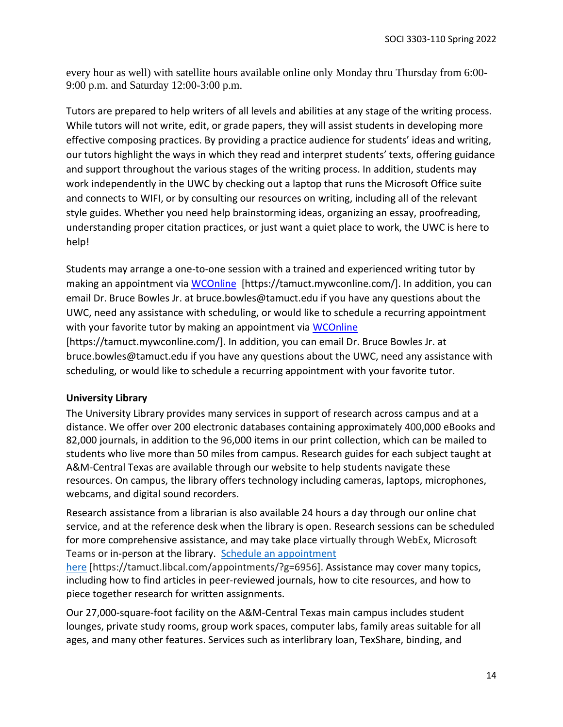every hour as well) with satellite hours available online only Monday thru Thursday from 6:00- 9:00 p.m. and Saturday 12:00-3:00 p.m.

Tutors are prepared to help writers of all levels and abilities at any stage of the writing process. While tutors will not write, edit, or grade papers, they will assist students in developing more effective composing practices. By providing a practice audience for students' ideas and writing, our tutors highlight the ways in which they read and interpret students' texts, offering guidance and support throughout the various stages of the writing process. In addition, students may work independently in the UWC by checking out a laptop that runs the Microsoft Office suite and connects to WIFI, or by consulting our resources on writing, including all of the relevant style guides. Whether you need help brainstorming ideas, organizing an essay, proofreading, understanding proper citation practices, or just want a quiet place to work, the UWC is here to help!

Students may arrange a one-to-one session with a trained and experienced writing tutor by making an appointment via [WCOnline](https://tamuct.mywconline.com/) [https://tamuct.mywconline.com/]. In addition, you can email Dr. Bruce Bowles Jr. at bruce.bowles@tamuct.edu if you have any questions about the UWC, need any assistance with scheduling, or would like to schedule a recurring appointment with your favorite tutor by making an appointment via [WCOnline](https://tamuct.mywconline.com/) [https://tamuct.mywconline.com/]. In addition, you can email Dr. Bruce Bowles Jr. at bruce.bowles@tamuct.edu if you have any questions about the UWC, need any assistance with scheduling, or would like to schedule a recurring appointment with your favorite tutor.

#### **University Library**

The University Library provides many services in support of research across campus and at a distance. We offer over 200 electronic databases containing approximately 400,000 eBooks and 82,000 journals, in addition to the 96,000 items in our print collection, which can be mailed to students who live more than 50 miles from campus. Research guides for each subject taught at A&M-Central Texas are available through our website to help students navigate these resources. On campus, the library offers technology including cameras, laptops, microphones, webcams, and digital sound recorders.

Research assistance from a librarian is also available 24 hours a day through our online chat service, and at the reference desk when the library is open. Research sessions can be scheduled for more comprehensive assistance, and may take place virtually through WebEx, Microsoft Teams or in-person at the library. Schedule an [appointment](https://nam04.safelinks.protection.outlook.com/?url=https%3A%2F%2Ftamuct.libcal.com%2Fappointments%2F%3Fg%3D6956&data=04%7C01%7Clisa.bunkowski%40tamuct.edu%7Cde2c07d9f5804f09518008d9ab7ba6ff%7C9eed4e3000f744849ff193ad8005acec%7C0%7C0%7C637729369835011558%7CUnknown%7CTWFpbGZsb3d8eyJWIjoiMC4wLjAwMDAiLCJQIjoiV2luMzIiLCJBTiI6Ik1haWwiLCJXVCI6Mn0%3D%7C3000&sdata=KhtjgRSAw9aq%2FoBsB6wyu8b7PSuGN5EGPypzr3Ty2No%3D&reserved=0)

[here](https://nam04.safelinks.protection.outlook.com/?url=https%3A%2F%2Ftamuct.libcal.com%2Fappointments%2F%3Fg%3D6956&data=04%7C01%7Clisa.bunkowski%40tamuct.edu%7Cde2c07d9f5804f09518008d9ab7ba6ff%7C9eed4e3000f744849ff193ad8005acec%7C0%7C0%7C637729369835011558%7CUnknown%7CTWFpbGZsb3d8eyJWIjoiMC4wLjAwMDAiLCJQIjoiV2luMzIiLCJBTiI6Ik1haWwiLCJXVCI6Mn0%3D%7C3000&sdata=KhtjgRSAw9aq%2FoBsB6wyu8b7PSuGN5EGPypzr3Ty2No%3D&reserved=0) [https://tamuct.libcal.com/appointments/?g=6956]. Assistance may cover many topics, including how to find articles in peer-reviewed journals, how to cite resources, and how to piece together research for written assignments.

Our 27,000-square-foot facility on the A&M-Central Texas main campus includes student lounges, private study rooms, group work spaces, computer labs, family areas suitable for all ages, and many other features. Services such as interlibrary loan, TexShare, binding, and